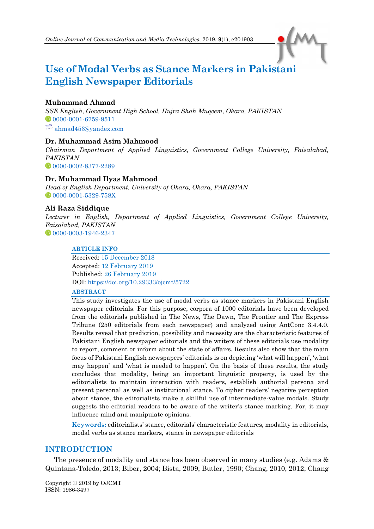# **Use of Modal Verbs as Stance Markers in Pakistani English Newspaper Editorials**

# **Muhammad Ahmad**

*SSE English, Government High School, Hujra Shah Muqeem, Okara, PAKISTAN* [0000-0001-6759-9511](https://orcid.org/0000-0001-6759-9511)  $\Box$  [ahmad453@yandex.com](mailto:ahmad453@yandex.com)

# **Dr. Muhammad Asim Mahmood**

*Chairman Department of Applied Linguistics, Government College University, Faisalabad, PAKISTAN* [0000-0002-8377-2289](https://orcid.org/0000-0002-8377-2289)

# **Dr. Muhammad Ilyas Mahmood**

*Head of English Department, University of Okara, Okara, PAKISTAN* <sup>0</sup>[0000-0001-5329-758X](https://orcid.org/0000-0001-5329-758X)

# **Ali Raza Siddique**

*Lecturer in English, Department of Applied Linguistics, Government College University, Faisalabad, PAKISTAN* <sup>0</sup>[0000-0003-1946-2347](https://orcid.org/0000-0003-1946-2347)

## **ARTICLE INFO**

Received: 15 December 2018 Accepted: 12 February 2019 Published: 26 February 2019 DOI[: https://doi.org/10.29333/ojcmt/5722](https://doi.org/10.29333/ojcmt/5722)

## **ABSTRACT**

This study investigates the use of modal verbs as stance markers in Pakistani English newspaper editorials. For this purpose, corpora of 1000 editorials have been developed from the editorials published in The News, The Dawn, The Frontier and The Express Tribune (250 editorials from each newspaper) and analyzed using AntConc 3.4.4.0. Results reveal that prediction, possibility and necessity are the characteristic features of Pakistani English newspaper editorials and the writers of these editorials use modality to report, comment or inform about the state of affairs. Results also show that the main focus of Pakistani English newspapers' editorials is on depicting 'what will happen', 'what may happen' and 'what is needed to happen'. On the basis of these results, the study concludes that modality, being an important linguistic property, is used by the editorialists to maintain interaction with readers, establish authorial persona and present personal as well as institutional stance. To cipher readers' negative perception about stance, the editorialists make a skillful use of intermediate-value modals. Study suggests the editorial readers to be aware of the writer's stance marking. For, it may influence mind and manipulate opinions.

**Keywords:** editorialists' stance, editorials' characteristic features, modality in editorials, modal verbs as stance markers, stance in newspaper editorials

## **INTRODUCTION**

The presence of modality and stance has been observed in many studies (e.g. Adams & Quintana-Toledo, 2013; Biber, 2004; Bista, 2009; Butler, 1990; Chang, 2010, 2012; Chang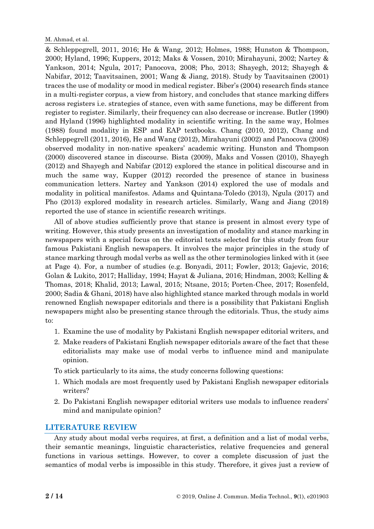& Schleppegrell, 2011, 2016; He & Wang, 2012; Holmes, 1988; Hunston & Thompson, 2000; Hyland, 1996; Kuppers, 2012; Maks & Vossen, 2010; Mirahayuni, 2002; Nartey & Yankson, 2014; Ngula, 2017; Panocova, 2008; Pho, 2013; Shayegh, 2012; Shayegh & Nabifar, 2012; Taavitsainen, 2001; Wang & Jiang, 2018). Study by Taavitsainen (2001) traces the use of modality or mood in medical register. Biber's (2004) research finds stance in a multi-register corpus, a view from history, and concludes that stance marking differs across registers i.e. strategies of stance, even with same functions, may be different from register to register. Similarly, their frequency can also decrease or increase. Butler (1990) and Hyland (1996) highlighted modality in scientific writing. In the same way, Holmes (1988) found modality in ESP and EAP textbooks. Chang (2010, 2012), Chang and Schleppegrell (2011, 2016), He and Wang (2012), Mirahayuni (2002) and Panocova (2008) observed modality in non-native speakers' academic writing. Hunston and Thompson (2000) discovered stance in discourse. Bista (2009), Maks and Vossen (2010), Shayegh (2012) and Shayegh and Nabifar (2012) explored the stance in political discourse and in much the same way, Kupper (2012) recorded the presence of stance in business communication letters. Nartey and Yankson (2014) explored the use of modals and modality in political manifestos. Adams and Quintana-Toledo (2013), Ngula (2017) and Pho (2013) explored modality in research articles. Similarly, Wang and Jiang (2018) reported the use of stance in scientific research writings.

All of above studies sufficiently prove that stance is present in almost every type of writing. However, this study presents an investigation of modality and stance marking in newspapers with a special focus on the editorial texts selected for this study from four famous Pakistani English newspapers. It involves the major principles in the study of stance marking through modal verbs as well as the other terminologies linked with it (see at Page 4). For, a number of studies (e.g. Bonyadi, 2011; Fowler, 2013; Gajevic, 2016; Golan & Lukito, 2017; Halliday, 1994; Hayat & Juliana, 2016; Hindman, 2003; Kelling & Thomas, 2018; Khalid, 2013; Lawal, 2015; Ntsane, 2015; Porten-Chee, 2017; Rosenfeld, 2000; Sadia & Ghani, 2018) have also highlighted stance marked through modals in world renowned English newspaper editorials and there is a possibility that Pakistani English newspapers might also be presenting stance through the editorials. Thus, the study aims to:

- 1. Examine the use of modality by Pakistani English newspaper editorial writers, and
- 2. Make readers of Pakistani English newspaper editorials aware of the fact that these editorialists may make use of modal verbs to influence mind and manipulate opinion.

To stick particularly to its aims, the study concerns following questions:

- 1. Which modals are most frequently used by Pakistani English newspaper editorials writers?
- 2. Do Pakistani English newspaper editorial writers use modals to influence readers' mind and manipulate opinion?

# **LITERATURE REVIEW**

Any study about modal verbs requires, at first, a definition and a list of modal verbs, their semantic meanings, linguistic characteristics, relative frequencies and general functions in various settings. However, to cover a complete discussion of just the semantics of modal verbs is impossible in this study. Therefore, it gives just a review of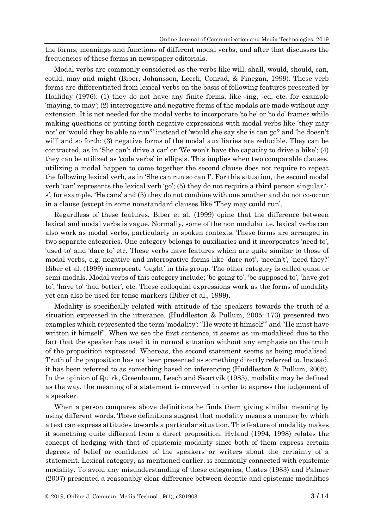the forms, meanings and functions of different modal verbs, and after that discusses the frequencies of these forms in newspaper editorials.

Modal verbs are commonly considered as the verbs like will, shall, would, should, can, could, may and might (Biber, Johansson, Leech, Conrad, & Finegan, 1999). These verb forms are differentiated from lexical verbs on the basis of following features presented by Hailiday (1976): (1) they do not have any finite forms, like -ing, -ed, etc. for example 'maying, to may'; (2) interrogative and negative forms of the modals are made without any extension. It is not needed for the modal verbs to incorporate 'to be' or 'to do' frames while making questions or putting forth negative expressions with modal verbs like 'they may not' or 'would they be able to run?' instead of 'would she say she is can go? and 'he doesn't will' and so forth; (3) negative forms of the modal auxiliaries are reducible. They can be contracted, as in 'She can't drive a car' or 'We won't have the capacity to drive a bike'; (4) they can be utilized as 'code verbs' in ellipsis. This implies when two comparable clauses, utilizing a modal happen to come together the second clause does not require to repeat the following lexical verb, as in 'She can run so can I'. For this situation, the second modal verb 'can' represents the lexical verb 'go'; (5) they do not require a third person singular ' s', for example, 'He cans' and (5) they do not combine with one another and do not co-occur in a clause (except in some nonstandard clauses like 'They may could run'.

Regardless of these features, Biber et al. (1999) opine that the difference between lexical and modal verbs is vague. Normally, some of the non modular i.e. lexical verbs can also work as modal verbs, particularly in spoken contexts. These forms are arranged in two separate categories. One category belongs to auxiliaries and it incorporates 'need to', 'used to' and 'dare to' etc. These verbs have features which are quite similar to those of modal verbs, e.g. negative and interrogative forms like 'dare not', 'needn't', 'need they?' Biber et al. (1999) incorporate 'ought' in this group. The other category is called quasi or semi-modals. Modal verbs of this category include; 'be going to', 'be supposed to', 'have got to', 'have to' 'had better', etc. These colloquial expressions work as the forms of modality yet can also be used for tense markers (Biber et al., 1999).

Modality is specifically related with attitude of the speakers towards the truth of a situation expressed in the utterance. (Huddleston & Pullum, 2005: 173) presented two examples which represented the term 'modality': "He wrote it himself'" and "He must have written it himself". When we see the first sentence, it seems as un-modalised due to the fact that the speaker has used it in normal situation without any emphasis on the truth of the proposition expressed. Whereas, the second statement seems as being modalised. Truth of the proposition has not been presented as something directly referred to. Instead, it has been referred to as something based on inferencing (Huddleston & Pullum, 2005). In the opinion of Quirk, Greenbaum, Leech and Svartvik (1985), modality may be defined as the way, the meaning of a statement is conveyed in order to express the judgement of a speaker.

When a person compares above definitions he finds them giving similar meaning by using different words. These definitions suggest that modality means a manner by which a text can express attitudes towards a particular situation. This feature of modality makes it something quite different from a direct proposition. Hyland (1994, 1998) relates the concept of hedging with that of epistemic modality since both of them express certain degrees of belief or confidence of the speakers or writers about the certainty of a statement. Lexical category, as mentioned earlier, is commonly connected with epistemic modality. To avoid any misunderstanding of these categories, Coates (1983) and Palmer (2007) presented a reasonably clear difference between deontic and epistemic modalities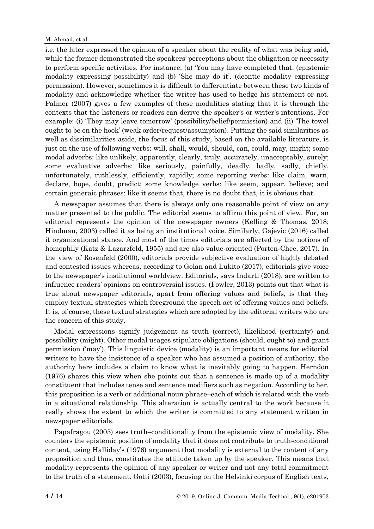#### M. Ahmad, et al.

i.e. the later expressed the opinion of a speaker about the reality of what was being said, while the former demonstrated the speakers' perceptions about the obligation or necessity to perform specific activities. For instance: (a) 'You may have completed that. (epistemic modality expressing possibility) and (b) 'She may do it'. (deontic modality expressing permission). However, sometimes it is difficult to differentiate between these two kinds of modality and acknowledge whether the writer has used to hedge his statement or not. Palmer (2007) gives a few examples of these modalities stating that it is through the contexts that the listeners or readers can derive the speaker's or writer's intentions. For example: (i) 'They may leave tomorrow' (possibility/belief/permission) and (ii) 'The towel ought to be on the hook' (weak order/request/assumption). Putting the said similarities as well as dissimilarities aside, the focus of this study, based on the available literature, is just on the use of following verbs: will, shall, would, should, can, could, may, might; some modal adverbs: like unlikely, apparently, clearly, truly, accurately, unacceptably, surely; some evaluative adverbs: like seriously, painfully, deadly, badly, sadly, chiefly, unfortunately, ruthlessly, efficiently, rapidly; some reporting verbs: like claim, warn, declare, hope, doubt, predict; some knowledge verbs: like seem, appear, believe; and certain generaic phrases: like it seems that, there is no doubt that, it is obvious that.

A newspaper assumes that there is always only one reasonable point of view on any matter presented to the public. The editorial seems to affirm this point of view. For, an editorial represents the opinion of the newspaper owners (Kelling & Thomas, 2018; Hindman, 2003) called it as being an institutional voice. Similarly, Gajevic (2016) called it organizational stance. And most of the times editorials are affected by the notions of homophily (Katz & Lazarzfeld, 1955) and are also value-oriented (Porten-Chee, 2017). In the view of Rosenfeld (2000), editorials provide subjective evaluation of highly debated and contested issues whereas, according to Golan and Lukito (2017), editorials give voice to the newspaper's institutional worldview. Editorials, says Indarti (2018), are written to influence readers' opinions on controversial issues. (Fowler, 2013) points out that what is true about newspaper editorials, apart from offering values and beliefs, is that they employ textual strategies which foreground the speech act of offering values and beliefs. It is, of course, these textual strategies which are adopted by the editorial writers who are the concern of this study.

Modal expressions signify judgement as truth (correct), likelihood (certainty) and possibility (might). Other modal usages stipulate obligations (should, ought to) and grant permission ('may'). This linguistic device (modality) is an important means for editorial writers to have the insistence of a speaker who has assumed a position of authority, the authority here includes a claim to know what is inevitably going to happen. Herndon (1976) shares this view when she points out that a sentence is made up of a modality constituent that includes tense and sentence modifiers such as negation. According to her, this proposition is a verb or additional noun phrase–each of which is related with the verb in a situational relationship. This alteration is actually central to the work because it really shows the extent to which the writer is committed to any statement written in newspaper editorials.

Papafragou (2005) sees truth–conditionality from the epistemic view of modality. She counters the epistemic position of modality that it does not contribute to truth-conditional content, using Halliday's (1976) argument that modality is external to the content of any proposition and thus, constitutes the attitude taken up by the speaker. This means that modality represents the opinion of any speaker or writer and not any total commitment to the truth of a statement. Gotti (2003), focusing on the Helsinki corpus of English texts,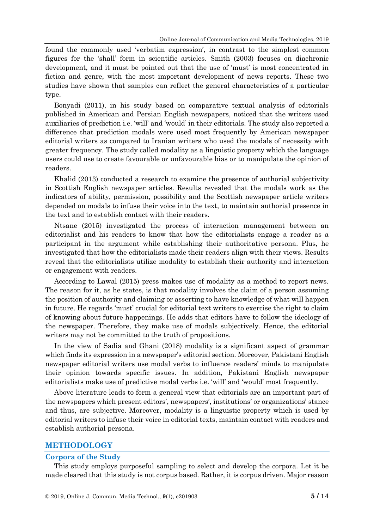found the commonly used 'verbatim expression', in contrast to the simplest common figures for the 'shall' form in scientific articles. Smith (2003) focuses on diachronic development, and it must be pointed out that the use of 'must' is most concentrated in fiction and genre, with the most important development of news reports. These two studies have shown that samples can reflect the general characteristics of a particular type.

Bonyadi (2011), in his study based on comparative textual analysis of editorials published in American and Persian English newspapers, noticed that the writers used auxiliaries of prediction i.e. 'will' and 'would' in their editorials. The study also reported a difference that prediction modals were used most frequently by American newspaper editorial writers as compared to Iranian writers who used the modals of necessity with greater frequency. The study called modality as a linguistic property which the language users could use to create favourable or unfavourable bias or to manipulate the opinion of readers.

Khalid (2013) conducted a research to examine the presence of authorial subjectivity in Scottish English newspaper articles. Results revealed that the modals work as the indicators of ability, permission, possibility and the Scottish newspaper article writers depended on modals to infuse their voice into the text, to maintain authorial presence in the text and to establish contact with their readers.

Ntsane (2015) investigated the process of interaction management between an editorialist and his readers to know that how the editorialists engage a reader as a participant in the argument while establishing their authoritative persona. Plus, he investigated that how the editorialists made their readers align with their views. Results reveal that the editorialists utilize modality to establish their authority and interaction or engagement with readers.

According to Lawal (2015) press makes use of modality as a method to report news. The reason for it, as he states, is that modality involves the claim of a person assuming the position of authority and claiming or asserting to have knowledge of what will happen in future. He regards 'must' crucial for editorial text writers to exercise the right to claim of knowing about future happenings. He adds that editors have to follow the ideology of the newspaper. Therefore, they make use of modals subjectively. Hence, the editorial writers may not be committed to the truth of propositions.

In the view of Sadia and Ghani (2018) modality is a significant aspect of grammar which finds its expression in a newspaper's editorial section. Moreover, Pakistani English newspaper editorial writers use modal verbs to influence readers' minds to manipulate their opinion towards specific issues. In addition, Pakistani English newspaper editorialists make use of predictive modal verbs i.e. 'will' and 'would' most frequently.

Above literature leads to form a general view that editorials are an important part of the newspapers which present editors', newspapers', institutions' or organizations' stance and thus, are subjective. Moreover, modality is a linguistic property which is used by editorial writers to infuse their voice in editorial texts, maintain contact with readers and establish authorial persona.

## **METHODOLOGY**

#### **Corpora of the Study**

This study employs purposeful sampling to select and develop the corpora. Let it be made cleared that this study is not corpus based. Rather, it is corpus driven. Major reason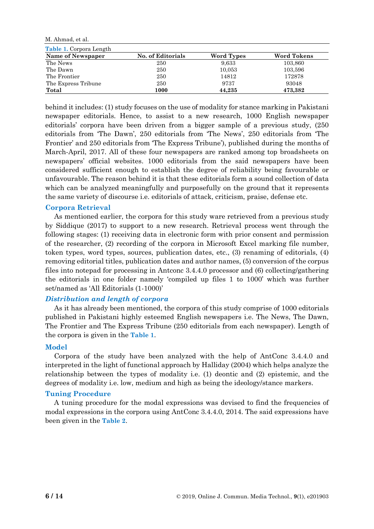M. Ahmad, et al.

| <b>Table 1. Corpora Length</b> |                   |            |                               |  |  |  |
|--------------------------------|-------------------|------------|-------------------------------|--|--|--|
| Name of Newspaper              | No. of Editorials | Word Types | <b>Word Tokens</b><br>103,860 |  |  |  |
| The News                       | 250               | 9,633      |                               |  |  |  |
| The Dawn                       | 250               | 10,053     | 103,596                       |  |  |  |
| The Frontier                   | 250               | 14812      | 172878                        |  |  |  |
| The Express Tribune            | 250               | 9737       | 93048                         |  |  |  |
| Total                          | 1000              | 44,235     | 473,382                       |  |  |  |

behind it includes: (1) study focuses on the use of modality for stance marking in Pakistani newspaper editorials. Hence, to assist to a new research, 1000 English newspaper editorials' corpora have been driven from a bigger sample of a previous study, (250 editorials from 'The Dawn', 250 editorials from 'The News', 250 editorials from 'The Frontier' and 250 editorials from 'The Express Tribune'), published during the months of March-April, 2017. All of these four newspapers are ranked among top broadsheets on newspapers' official websites. 1000 editorials from the said newspapers have been considered sufficient enough to establish the degree of reliability being favourable or unfavourable. The reason behind it is that these editorials form a sound collection of data which can be analyzed meaningfully and purposefully on the ground that it represents the same variety of discourse i.e. editorials of attack, criticism, praise, defense etc.

## **Corpora Retrieval**

As mentioned earlier, the corpora for this study ware retrieved from a previous study by Siddique (2017) to support to a new research. Retrieval process went through the following stages: (1) receiving data in electronic form with prior consent and permission of the researcher, (2) recording of the corpora in Microsoft Excel marking file number, token types, word types, sources, publication dates, etc., (3) renaming of editorials, (4) removing editorial titles, publication dates and author names, (5) conversion of the corpus files into notepad for processing in Antconc 3.4.4.0 processor and (6) collecting/gathering the editorials in one folder namely 'compiled up files 1 to 1000' which was further set/named as 'All Editorials (1-1000)'

## *Distribution and length of corpora*

As it has already been mentioned, the corpora of this study comprise of 1000 editorials published in Pakistani highly esteemed English newspapers i.e. The News, The Dawn, The Frontier and The Express Tribune (250 editorials from each newspaper). Length of the corpora is given in the **Table 1**.

### **Model**

Corpora of the study have been analyzed with the help of AntConc 3.4.4.0 and interpreted in the light of functional approach by Halliday (2004) which helps analyze the relationship between the types of modality i.e. (1) deontic and (2) epistemic, and the degrees of modality i.e. low, medium and high as being the ideology/stance markers.

### **Tuning Procedure**

A tuning procedure for the modal expressions was devised to find the frequencies of modal expressions in the corpora using AntConc 3.4.4.0, 2014. The said expressions have been given in the **Table 2**.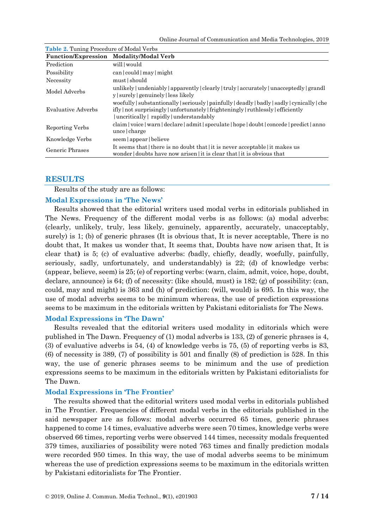Online Journal of Communication and Media Technologies, 2019

| <b>Function/Expression</b> | Modality/Modal Verb                                                                                                                                                                                                            |  |
|----------------------------|--------------------------------------------------------------------------------------------------------------------------------------------------------------------------------------------------------------------------------|--|
| Prediction                 | will would                                                                                                                                                                                                                     |  |
| Possibility                | can   could   may   might                                                                                                                                                                                                      |  |
| Necessity                  | must should                                                                                                                                                                                                                    |  |
| Model Adverbs              | unlikely   undeniably   apparently   clearly   truly   accurately   unacceptedly   grandl<br>y   surely   genuinely   less likely                                                                                              |  |
| Evaluative Adverbs         | woefully   substantionally   seriously   painfully   deadly   badly   sadly   cynically   che<br>ifly   not surprisingly   unfortunately   frighteningly   ruthlessly   efficiently<br>uncritically   rapidly   understandably |  |
| Reporting Verbs            | claim voice   warn   declare   admit   speculate   hope   doubt   concede   predict   anno<br>unce   charge                                                                                                                    |  |
| Knowledge Verbs            | seem   appear   believe                                                                                                                                                                                                        |  |
| Generic Phrases            | It seems that there is no doubt that it is never acceptable it makes us<br>wonder doubts have now arisen it is clear that it is obvious that                                                                                   |  |

**Table 2.** Tuning Procedure of Modal Verbs

# **RESULTS**

Results of the study are as follows:

## **Modal Expressions in 'The News'**

Results showed that the editorial writers used modal verbs in editorials published in The News. Frequency of the different modal verbs is as follows: (a) modal adverbs: (clearly, unlikely, truly, less likely, genuinely, apparently, accurately, unacceptably, surely) is 1; (b) of generic phrases (It is obvious that, It is never acceptable, There is no doubt that, It makes us wonder that, It seems that, Doubts have now arisen that, It is clear that**)** is 5; (c) of evaluative adverbs: *(*badly, chiefly, deadly, woefully, painfully, seriously, sadly, unfortunately, and understandably) is 22; (d) of knowledge verbs: (appear, believe, seem) is 25; (e) of reporting verbs: (warn, claim, admit, voice, hope, doubt, declare, announce) is 64; (f) of necessity: (like should, must) is 182; (g) of possibility: (can, could, may and might) is 363 and (h) of prediction: (will, would) is 695. In this way, the use of modal adverbs seems to be minimum whereas, the use of prediction expressions seems to be maximum in the editorials written by Pakistani editorialists for The News.

## **Modal Expressions in 'The Dawn'**

Results revealed that the editorial writers used modality in editorials which were published in The Dawn. Frequency of (1) modal adverbs is 133, (2) of generic phrases is 4, (3) of evaluative adverbs is 54, (4) of knowledge verbs is 75, (5) of reporting verbs is 83, (6) of necessity is 389, (7) of possibility is 501 and finally (8) of prediction is 528. In this way, the use of generic phrases seems to be minimum and the use of prediction expressions seems to be maximum in the editorials written by Pakistani editorialists for The Dawn.

### **Modal Expressions in 'The Frontier'**

The results showed that the editorial writers used modal verbs in editorials published in The Frontier. Frequencies of different modal verbs in the editorials published in the said newspaper are as follows: modal adverbs occurred 65 times, generic phrases happened to come 14 times, evaluative adverbs were seen 70 times, knowledge verbs were observed 66 times, reporting verbs were observed 144 times, necessity modals frequented 379 times, auxiliaries of possibility were noted 763 times and finally prediction modals were recorded 950 times. In this way, the use of modal adverbs seems to be minimum whereas the use of prediction expressions seems to be maximum in the editorials written by Pakistani editorialists for The Frontier.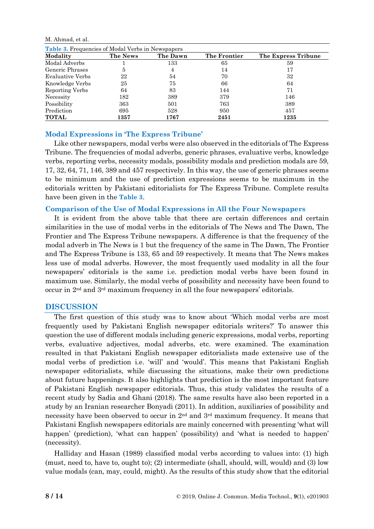M. Ahmad, et al.

| <b>Table 3.</b> Frequencies of Modal Verbs in Newspapers |          |          |              |                     |  |  |
|----------------------------------------------------------|----------|----------|--------------|---------------------|--|--|
| Modality                                                 | The News | The Dawn | The Frontier | The Express Tribune |  |  |
| Modal Adverbs                                            |          | 133      | 65           | 59                  |  |  |
| Generic Phrases                                          | 5        | 4        | 14           | 17                  |  |  |
| Evaluative Verbs                                         | 22       | 54       | 70           | 32                  |  |  |
| Knowledge Verbs                                          | 25       | 75       | 66           | 64                  |  |  |
| Reporting Verbs                                          | 64       | 83       | 144          | 71                  |  |  |
| Necessity                                                | 182      | 389      | 379          | 146                 |  |  |
| Possibility                                              | 363      | 501      | 763          | 389                 |  |  |
| Prediction                                               | 695      | 528      | 950          | 457                 |  |  |
| <b>TOTAL</b>                                             | 1357     | 1767     | 2451         | 1235                |  |  |

## **Modal Expressions in 'The Express Tribune'**

Like other newspapers, modal verbs were also observed in the editorials of The Express Tribune. The frequencies of modal adverbs, generic phrases, evaluative verbs, knowledge verbs, reporting verbs, necessity modals, possibility modals and prediction modals are 59, 17, 32, 64, 71, 146, 389 and 457 respectively. In this way, the use of generic phrases seems to be minimum and the use of prediction expressions seems to be maximum in the editorials written by Pakistani editorialists for The Express Tribune. Complete results have been given in the **Table 3**.

### **Comparison of the Use of Modal Expressions in All the Four Newspapers**

It is evident from the above table that there are certain differences and certain similarities in the use of modal verbs in the editorials of The News and The Dawn, The Frontier and The Express Tribune newspapers. A difference is that the frequency of the modal adverb in The News is 1 but the frequency of the same in The Dawn, The Frontier and The Express Tribune is 133, 65 and 59 respectively. It means that The News makes less use of modal adverbs. However, the most frequently used modality in all the four newspapers' editorials is the same i.e. prediction modal verbs have been found in maximum use. Similarly, the modal verbs of possibility and necessity have been found to occur in 2nd and 3rd maximum frequency in all the four newspapers' editorials.

### **DISCUSSION**

The first question of this study was to know about 'Which modal verbs are most frequently used by Pakistani English newspaper editorials writers?' To answer this question the use of different modals including generic expressions, modal verbs, reporting verbs, evaluative adjectives, modal adverbs, etc. were examined. The examination resulted in that Pakistani English newspaper editorialists made extensive use of the modal verbs of prediction i.e. 'will' and 'would'. This means that Pakistani English newspaper editorialists, while discussing the situations, make their own predictions about future happenings. It also highlights that prediction is the most important feature of Pakistani English newspaper editorials. Thus, this study validates the results of a recent study by Sadia and Ghani (2018). The same results have also been reported in a study by an Iranian researcher Bonyadi (2011). In addition, auxiliaries of possibility and necessity have been observed to occur in  $2<sup>nd</sup>$  and  $3<sup>rd</sup>$  maximum frequency. It means that Pakistani English newspapers editorials are mainly concerned with presenting 'what will happen' (prediction), 'what can happen' (possibility) and 'what is needed to happen' (necessity).

Halliday and Hasan (1989) classified modal verbs according to values into: (1) high (must, need to, have to, ought to); (2) intermediate (shall, should, will, would) and (3) low value modals (can, may, could, might). As the results of this study show that the editorial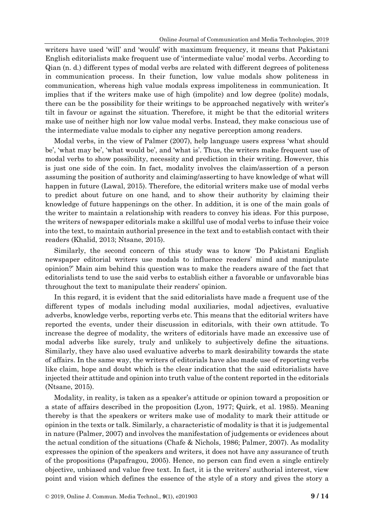writers have used 'will' and 'would' with maximum frequency, it means that Pakistani English editorialists make frequent use of 'intermediate value' modal verbs. According to Qian (n. d.) different types of modal verbs are related with different degrees of politeness in communication process. In their function, low value modals show politeness in communication, whereas high value modals express impoliteness in communication. It implies that if the writers make use of high (impolite) and low degree (polite) modals, there can be the possibility for their writings to be approached negatively with writer's tilt in favour or against the situation. Therefore, it might be that the editorial writers make use of neither high nor low value modal verbs. Instead, they make conscious use of the intermediate value modals to cipher any negative perception among readers.

Modal verbs, in the view of Palmer (2007), help language users express 'what should be', 'what may be', 'what would be', and 'what is'. Thus, the writers make frequent use of modal verbs to show possibility, necessity and prediction in their writing. However, this is just one side of the coin. In fact, modality involves the claim/assertion of a person assuming the position of authority and claiming/asserting to have knowledge of what will happen in future (Lawal, 2015). Therefore, the editorial writers make use of modal verbs to predict about future on one hand, and to show their authority by claiming their knowledge of future happenings on the other. In addition, it is one of the main goals of the writer to maintain a relationship with readers to convey his ideas. For this purpose, the writers of newspaper editorials make a skillful use of modal verbs to infuse their voice into the text, to maintain authorial presence in the text and to establish contact with their readers (Khalid, 2013; Ntsane, 2015).

Similarly, the second concern of this study was to know 'Do Pakistani English newspaper editorial writers use modals to influence readers' mind and manipulate opinion?' Main aim behind this question was to make the readers aware of the fact that editorialists tend to use the said verbs to establish either a favorable or unfavorable bias throughout the text to manipulate their readers' opinion.

In this regard, it is evident that the said editorialists have made a frequent use of the different types of modals including modal auxiliaries, modal adjectives, evaluative adverbs, knowledge verbs, reporting verbs etc. This means that the editorial writers have reported the events, under their discussion in editorials, with their own attitude. To increase the degree of modality, the writers of editorials have made an excessive use of modal adverbs like surely, truly and unlikely to subjectively define the situations. Similarly, they have also used evaluative adverbs to mark desirability towards the state of affairs. In the same way, the writers of editorials have also made use of reporting verbs like claim, hope and doubt which is the clear indication that the said editorialists have injected their attitude and opinion into truth value of the content reported in the editorials (Ntsane, 2015).

Modality, in reality, is taken as a speaker's attitude or opinion toward a proposition or a state of affairs described in the proposition (Lyon, 1977; Quirk, et al. 1985). Meaning thereby is that the speakers or writers make use of modality to mark their attitude or opinion in the texts or talk. Similarly, a characteristic of modality is that it is judgemental in nature (Palmer, 2007) and involves the manifestation of judgements or evidences about the actual condition of the situations (Chafe & Nichols, 1986; Palmer, 2007). As modality expresses the opinion of the speakers and writers, it does not have any assurance of truth of the propositions (Papafragou, 2005). Hence, no person can find even a single entirely objective, unbiased and value free text. In fact, it is the writers' authorial interest, view point and vision which defines the essence of the style of a story and gives the story a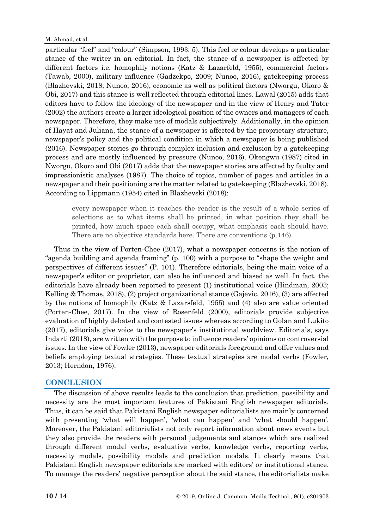particular "feel" and "colour" (Simpson, 1993: 5). This feel or colour develops a particular stance of the writer in an editorial. In fact, the stance of a newspaper is affected by different factors i.e. homophily notions (Katz & Lazarfeld, 1955), commercial factors (Tawab, 2000), military influence (Gadzekpo, 2009; Nunoo, 2016), gatekeeping process (Blazhevski, 2018; Nunoo, 2016), economic as well as political factors (Nworgu, Okoro & Obi, 2017) and this stance is well reflected through editorial lines. Lawal (2015) adds that editors have to follow the ideology of the newspaper and in the view of Henry and Tator (2002) the authors create a larger ideological position of the owners and managers of each newspaper. Therefore, they make use of modals subjectively. Additionally, in the opinion of Hayat and Juliana, the stance of a newspaper is affected by the proprietary structure, newspaper's policy and the political condition in which a newspaper is being published (2016). Newspaper stories go through complex inclusion and exclusion by a gatekeeping process and are mostly influenced by pressure (Nunoo, 2016). Okengwu (1987) cited in Nworgu, Okoro and Obi (2017) adds that the newspaper stories are affected by faulty and impressionistic analyses (1987). The choice of topics, number of pages and articles in a newspaper and their positioning are the matter related to gatekeeping (Blazhevski, 2018). According to Lippmann (1954) cited in Blazhevski (2018):

every newspaper when it reaches the reader is the result of a whole series of selections as to what items shall be printed, in what position they shall be printed, how much space each shall occupy, what emphasis each should have. There are no objective standards here. There are conventions (p.146).

Thus in the view of Porten-Chee (2017), what a newspaper concerns is the notion of "agenda building and agenda framing" (p. 100) with a purpose to "shape the weight and perspectives of different issues" (P. 101). Therefore editorials, being the main voice of a newspaper's editor or proprietor, can also be influenced and biased as well. In fact, the editorials have already been reported to present (1) institutional voice (Hindman, 2003; Kelling & Thomas, 2018), (2) project organizational stance (Gajevic, 2016), (3) are affected by the notions of homophily (Katz & Lazarsfeld, 1955) and (4) also are value oriented (Porten-Chee, 2017). In the view of Rosenfeld (2000), editorials provide subjective evaluation of highly debated and contested issues whereas according to Golan and Lukito (2017), editorials give voice to the newspaper's institutional worldview. Editorials, says Indarti (2018), are written with the purpose to influence readers' opinions on controversial issues. In the view of Fowler (2013), newspaper editorials foreground and offer values and beliefs employing textual strategies. These textual strategies are modal verbs (Fowler, 2013; Herndon, 1976).

## **CONCLUSION**

The discussion of above results leads to the conclusion that prediction, possibility and necessity are the most important features of Pakistani English newspaper editorials. Thus, it can be said that Pakistani English newspaper editorialists are mainly concerned with presenting 'what will happen', 'what can happen' and 'what should happen'. Moreover, the Pakistani editorialists not only report information about news events but they also provide the readers with personal judgements and stances which are realized through different modal verbs, evaluative verbs, knowledge verbs, reporting verbs, necessity modals, possibility modals and prediction modals. It clearly means that Pakistani English newspaper editorials are marked with editors' or institutional stance. To manage the readers' negative perception about the said stance, the editorialists make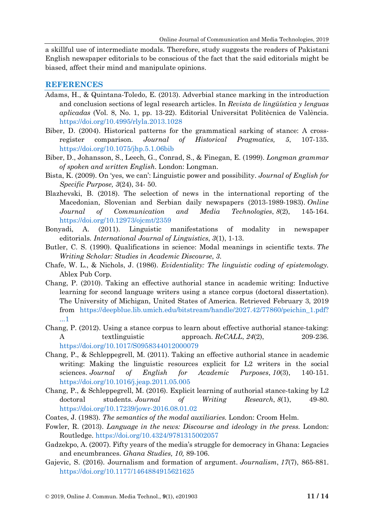a skillful use of intermediate modals. Therefore, study suggests the readers of Pakistani English newspaper editorials to be conscious of the fact that the said editorials might be biased, affect their mind and manipulate opinions.

## **REFERENCES**

- Adams, H., & Quintana-Toledo, E. (2013). Adverbial stance marking in the introduction and conclusion sections of legal research articles. In *Revista de lingüística y lenguas aplicadas* (Vol. 8, No. 1, pp. 13-22). Editorial Universitat Politècnica de València. <https://doi.org/10.4995/rlyla.2013.1028>
- Biber, D. (2004). Historical patterns for the grammatical sarking of stance: A crossregister comparison. *Journal of Historical Pragmatics, 5*, 107-135. <https://doi.org/10.1075/jhp.5.1.06bib>
- Biber, D., Johansson, S., Leech, G., Conrad, S., & Finegan, E. (1999). *Longman grammar of spoken and written English*. London: Longman.
- Bista, K. (2009). On 'yes, we can': Linguistic power and possibility. *Journal of English for Specific Purpose, 3*(24), 34- 50.
- Blazhevski, B. (2018). The selection of news in the international reporting of the Macedonian, Slovenian and Serbian daily newspapers (2013-1989-1983). *Online Journal of Communication and Media Technologies*, *8*(2), 145-164. <https://doi.org/10.12973/ojcmt/2359>
- Bonyadi, A. (2011). Linguistic manifestations of modality in newspaper editorials. *International Journal of Linguistics*, *3*(1), 1-13.
- Butler, C. S. (1990). Qualifications in science: Modal meanings in scientific texts. *The Writing Scholar: Studies in Academic Discourse*, *3*.
- Chafe, W. L., & Nichols, J. (1986). *Evidentiality: The linguistic coding of epistemology.* Ablex Pub Corp.
- Chang, P. (2010). Taking an effective authorial stance in academic writing: Inductive learning for second language writers using a stance corpus (doctoral dissertation). The University of Michigan, United States of America. Retrieved February 3, 2019 from [https://deepblue.lib.umich.edu/bitstream/handle/2027.42/77860/peichin\\_1.pdf?](https://deepblue.lib.umich.edu/bitstream/handle/2027.42/77860/peichin_1.pdf?%0b...1) [...1](https://deepblue.lib.umich.edu/bitstream/handle/2027.42/77860/peichin_1.pdf?%0b...1)
- Chang, P. (2012). Using a stance corpus to learn about effective authorial stance-taking: A textlinguistic approach. *ReCALL*, 24(2), 209-236. <https://doi.org/10.1017/S0958344012000079>
- Chang, P., & Schleppegrell, M. (2011). Taking an effective authorial stance in academic writing: Making the linguistic resources explicit for L2 writers in the social sciences. *Journal of English for Academic Purposes*, *10*(3), 140-151. <https://doi.org/10.1016/j.jeap.2011.05.005>
- Chang, P., & Schleppegrell, M. (2016). Explicit learning of authorial stance-taking by L2 doctoral students. *Journal of Writing Research*, *8*(1), 49-80. <https://doi.org/10.17239/jowr-2016.08.01.02>
- Coates, J. (1983). *The semantics of the modal auxiliaries.* London: Croom Helm.
- Fowler, R. (2013). *Language in the news: Discourse and ideology in the press.* London: Routledge. <https://doi.org/10.4324/9781315002057>
- Gadzekpo, A. (2007). Fifty years of the media's struggle for democracy in Ghana: Legacies and encumbrances. *Ghana Studies, 10,* 89-106.
- Gajevic, S. (2016). Journalism and formation of argument. *Journalism*, *17*(7), 865-881. <https://doi.org/10.1177/1464884915621625>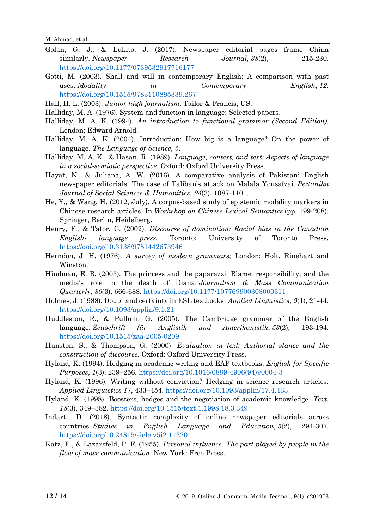M. Ahmad, et al.

- Golan, G. J., & Lukito, J. (2017). Newspaper editorial pages frame China similarly. *Newspaper Research Journal*, *38*(2), 215-230. <https://doi.org/10.1177/0739532917716177>
- Gotti, M. (2003). Shall and will in contemporary English: A comparison with past uses. *Modality in Contemporary English*, *12*. <https://doi.org/10.1515/9783110895339.267>
- Hall, H. L. (2003). *Junior high journalism.* Tailor & Francis, US.
- Halliday, M. A. (1976). System and function in language: Selected papers.
- Halliday, M. A. K. (1994). *An introduction to functional grammar (Second Edition)*. London: Edward Arnold.
- Halliday, M. A. K. (2004). Introduction: How big is a language? On the power of language. *The Language of Science*, *5*.
- Halliday, M. A. K., & Hasan, R. (1989). *Language, context, and text: Aspects of language in a social-semiotic perspective*. Oxford: Oxford University Press.
- Hayat, N., & Juliana, A. W. (2016). A comparative analysis of Pakistani English newspaper editorials: The case of Taliban's attack on Malala Yousafzai. *Pertanika Journal of Social Sciences & Humanities*, *24*(3), 1087-1101.
- He, Y., & Wang, H. (2012, July). A corpus-based study of epistemic modality markers in Chinese research articles. In *Workshop on Chinese Lexical Semantics* (pp. 199-208). Springer, Berlin, Heidelberg.
- Henry, F., & Tator, C. (2002). *Discourse of domination: Racial bias in the Canadian English- language press.* Toronto: University of Toronto Press. <https://doi.org/10.3138/9781442673946>
- Herndon, J. H. (1976). *A survey of modern grammars;* London: Holt, Rinehart and Winston.
- Hindman, E. B. (2003). The princess and the paparazzi: Blame, responsibility, and the media's role in the death of Diana. *Journalism & Mass Communication Quarterly*, *80*(3), 666-688. <https://doi.org/10.1177/107769900308000311>
- Holmes, J. (1988). Doubt and certainty in ESL textbooks. *Applied Linguistics*, *9*(1), 21-44. <https://doi.org/10.1093/applin/9.1.21>
- Huddleston, R., & Pullum, G. (2005). The Cambridge grammar of the English language. *Zeitschrift für Anglistik und Amerikanistik*, *53*(2), 193-194. <https://doi.org/10.1515/zaa-2005-0209>
- Hunston, S., & Thompson, G. (2000). *Evaluation in text: Authorial stance and the construction of discourse.* Oxford: Oxford University Press.
- Hyland, K. (1994). Hedging in academic writing and EAP textbooks. *English for Specific Purposes*, *1*(3), 239–256. [https://doi.org/10.1016/0889-4906\(94\)90004-3](https://doi.org/10.1016/0889-4906(94)90004-3)
- Hyland, K. (1996). Writing without conviction? Hedging in science research articles. *Applied Linguistics 17*, 433–454. <https://doi.org/10.1093/applin/17.4.433>
- Hyland, K. (1998). Boosters, hedges and the negotiation of academic knowledge. *Text*, *18*(3), 349–382. <https://doi.org/10.1515/text.1.1998.18.3.349>
- Indarti, D. (2018). Syntactic complexity of online newspaper editorials across countries. *Studies in English Language and Education*, *5*(2), 294-307. <https://doi.org/10.24815/siele.v5i2.11320>
- Katz, E., & Lazarsfeld, P. F. (1955). *Personal influence. The part played by people in the flow of mass communication*. New York: Free Press.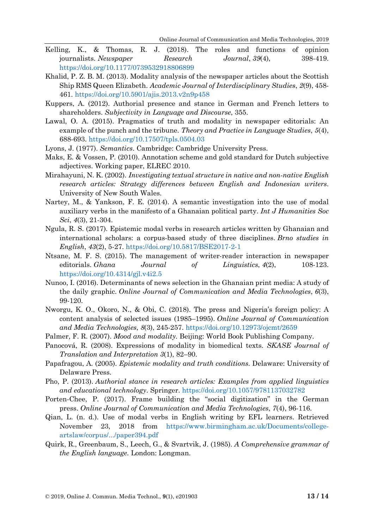- Kelling, K., & Thomas, R. J. (2018). The roles and functions of opinion journalists. *Newspaper Research Journal*, *39*(4), 398-419. <https://doi.org/10.1177/0739532918806899>
- Khalid, P. Z. B. M. (2013). Modality analysis of the newspaper articles about the Scottish Ship RMS Queen Elizabeth. *Academic Journal of Interdisciplinary Studies*, *2*(9), 458- 461. <https://doi.org/10.5901/ajis.2013.v2n9p458>
- Kuppers, A. (2012). Authorial presence and stance in German and French letters to shareholders. *Subjectivity in Language and Discourse*, 355.
- Lawal, O. A. (2015). Pragmatics of truth and modality in newspaper editorials: An example of the punch and the tribune. *Theory and Practice in Language Studies*, *5*(4), 688-693. <https://doi.org/10.17507/tpls.0504.03>
- Lyons, J. (1977). *Semantics*. Cambridge: Cambridge University Press.
- Maks, E. & Vossen, P. (2010). Annotation scheme and gold standard for Dutch subjective adjectives. Working paper, ELREC 2010.
- Mirahayuni, N. K. (2002). *Investigating textual structure in native and non-native English research articles: Strategy differences between English and Indonesian writers*. University of New South Wales.
- Nartey, M., & Yankson, F. E. (2014). A semantic investigation into the use of modal auxiliary verbs in the manifesto of a Ghanaian political party. *Int J Humanities Soc Sci*, *4*(3), 21-304.
- Ngula, R. S. (2017). Epistemic modal verbs in research articles written by Ghanaian and international scholars: a corpus-based study of three disciplines. *Brno studies in English*, *43*(2), 5-27. <https://doi.org/10.5817/BSE2017-2-1>
- Ntsane, M. F. S. (2015). The management of writer-reader interaction in newspaper editorials. *Ghana Journal of Linguistics*, *4*(2), 108-123. <https://doi.org/10.4314/gjl.v4i2.5>
- Nunoo, I. (2016). Determinants of news selection in the Ghanaian print media: A study of the daily graphic. *Online Journal of Communication and Media Technologies*, *6*(3), 99-120.
- Nworgu, K. O., Okoro, N., & Obi, C. (2018). The press and Nigeria's foreign policy: A content analysis of selected issues (1985–1995). *Online Journal of Communication and Media Technologies*, *8*(3), 245-257. <https://doi.org/10.12973/ojcmt/2659>
- Palmer, F. R. (2007). *Mood and modality.* Beijing: World Book Publishing Company.
- Panocová, R. (2008). Expressions of modality in biomedical texts. *SKASE Journal of Translation and Interpretation 3*(1), 82–90.
- Papafragou, A. (2005). *Epistemic modality and truth conditions.* Delaware: University of Delaware Press.
- Pho, P. (2013). *Authorial stance in research articles: Examples from applied linguistics and educational technology*. Springer. <https://doi.org/10.1057/9781137032782>
- Porten-Chee, P. (2017). Frame building the "social digitization" in the German press. *Online Journal of Communication and Media Technologies*, *7*(4), 96-116.
- Qian, L. (n. d.). Use of modal verbs in English writing by EFL learners. Retrieved November 23, 2018 from [https://www.birmingham.ac.uk/Documents/college](https://www.birmingham.ac.uk/Documents/college-artslaw/corpus/.../paper394.pdf)[artslaw/corpus/.../paper394.pdf](https://www.birmingham.ac.uk/Documents/college-artslaw/corpus/.../paper394.pdf)
- Quirk, R., Greenbaum, S., Leech, G., & Svartvik, J. (1985). *A Comprehensive grammar of the English language.* London: Longman.